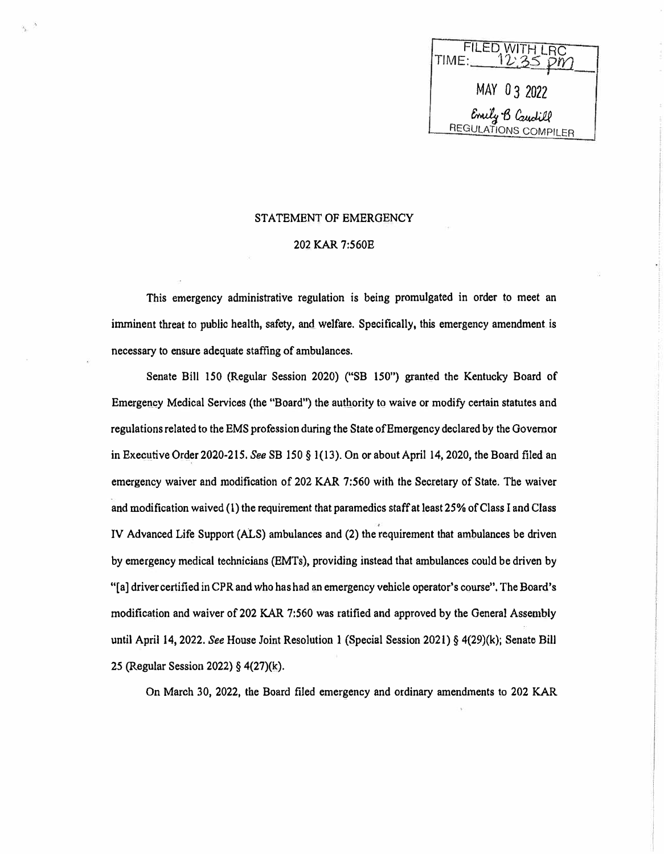**FILED WITH I**  $\mathsf{TIME:}\_$ *IYJ* MAY O 3 2022 REGULATIONS *&.v1:J i, �* **COMPILER** 

### STATEMENT OF EMERGENCY

## 202 KAR 7:560E

This emergency administrative regulation is being promulgated in order to meet an imminent threat to public health, safety, and welfare. Specifically, this emergency amendment is necessary to ensure adequate staffing of ambulances.

Senate Bill 150 (Regular Session 2020) ("SB 150") granted the Kentucky Board of Emergency Medical Services (the "Board") the authority to waive or modify certain statutes and regulations related to the EMS profession during the State of Emergency declared by the Governor in Executive Order 2020-215. *See* SB 150 § 1(13). On or about April 14, 2020, the Board filed an emergency waiver and modification of 202 KAR 7:560 with the Secretary of State. The waiver and modification waived (I) the requirement that paramedics staff at least 25% of Class I and Class IV Advanced Life Support (ALS) ambulances and (2) the requirement that ambulances be driven by emergency medical technicians (EMTs), providing instead that ambulances could be driven by "[a] driver certified in CPR and who has had an emergency vehicle operator's course". The Board's modification and waiver of 202 KAR 7:560 was ratified and approved by the General Assembly until April 14, 2022. *See* House Joint Resolution 1 (Special Session 2021) § 4(29)(k); Senate Bill 25 (Regular Session 2022) § 4(27)(k).

On March 30, 2022, the Board filed emergency and ordinary amendments to 202 KAR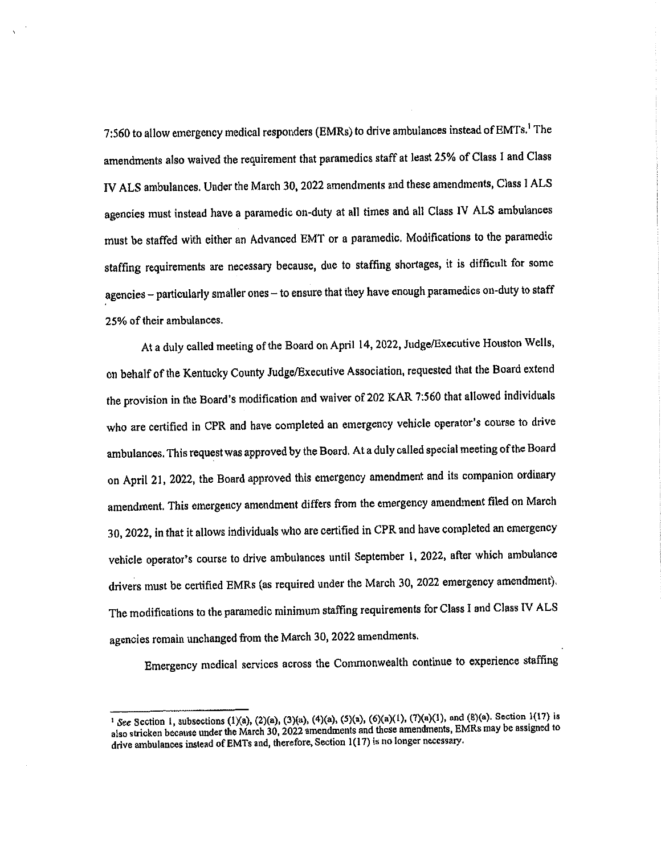7:560 to allow emergency medical responders (EMRs) to drive ambulances instead of EMTs.<sup>1</sup> The amendments also waived the requirement that paramedics staff at least 25% of Class I and Class IV ALS ambulances. Under the March 30, 2022 amendments and these amendments, Class I ALS agencies must instead have a paramedic on-duty at all times and all Class IV ALS ambulances must be staffed with either an Advanced EMT or a paramedic. Modifications to the paramedic staffing requirements are necessary because, due to staffing shortages, it is difficult for some agencies - particularly smaller ones - to ensure that they have enough paramedics on-duty to staff 25% of their ambulances.

At a duly called meeting of the Board on April 14, 2022, Judge/Executive Houston Wells, on behalf of the Kentucky County Judge/Executive Association, requested that the Board extend the provision in the Board's modification and waiver of 202 KAR 7:560 that allowed individuals who are certified in CPR and have completed an emergency vehicle operator's course to drive ambulances. This request was approved by the Board. At a duly called special meeting of the Board on April 21, 2022, the Board approved this emergency amendment and its companion ordinary amendment. This emergency amendment differs from the emergency amendment filed on March 30, 2022, in that it allows individuals who are certified in CPR and have completed an emergency vehicle operator's course to drive ambulances until September 1, 2022, after which ambulance drivers must be certified EMRs (as required under the March 30, 2022 emergency amendment). The modifications to the paramedic minimum staffing requirements for Class I and Class IV ALS agencies remain unchanged from the March 30, 2022 amendments.

Emergency medical services across the Commonwealth continue to experience staffing

<sup>&</sup>lt;sup>1</sup> See Section 1, subsections (1)(a), (2)(a), (3)(a), (4)(a), (5)(a), (6)(a)(1), (7)(a)(1), and (8)(a). Section 1(17) is also stricken because under the March 30, 2022 amendments and these amendments, EMRs may be assigned to drive ambulances instead of EMTs and, therefore, Section 1(17) is no longer necessary.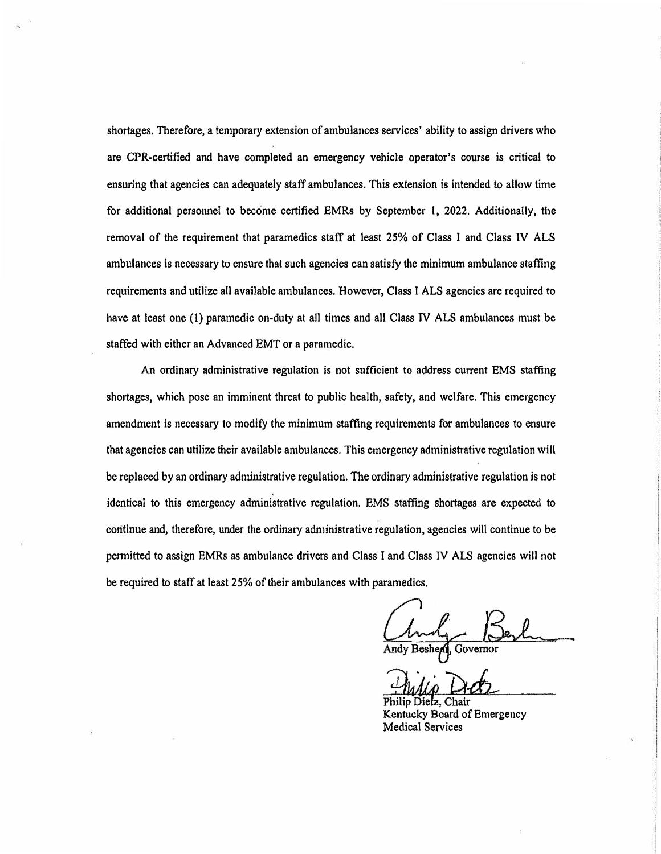shortages. Therefore, a temporary extension of ambulances services' ability to assign drivers who are CPR-certified and have completed an emergency vehicle operator's course is critical to ensuring that agencies can adequately staff ambulances. This extension is intended to allow time for additional personnel to become certified EMRs by September I, 2022. Additionally, the removal of the requirement that paramedics staff at least 25% of Class I and Class N ALS ambulances is necessary to ensure that such agencies can satisfy the minimum ambulance staffing requirements and utilize all available ambulances. However, Class I ALS agencies are required to have at least one (1) paramedic on-duty at all times and all Class N ALS ambulances must be staffed with either an Advanced EMT or a paramedic.

An ordinary administrative regulation is not sufficient to address current EMS staffing shortages, which pose an imminent threat to public health, safety, and welfare. This emergency amendment is necessary to modify the minimum staffing requirements for ambulances to ensure that agencies can utilize their available ambulances. This emergency administrative regulation will be replaced by an ordinary administrative regulation. The ordinary administrative regulation is not identical to this emergency administrative regulation. EMS staffing shortages are expected to continue and, therefore, under the ordinary administrative regulation, agencies will continue to be permitted to assign EMRs as ambulance drivers and Class I and Class IV ALS agencies will not be required to staff at least 25% of their ambulances with paramedics.

Chair Philin Dietz Kentucky Board of Emergency Medical Services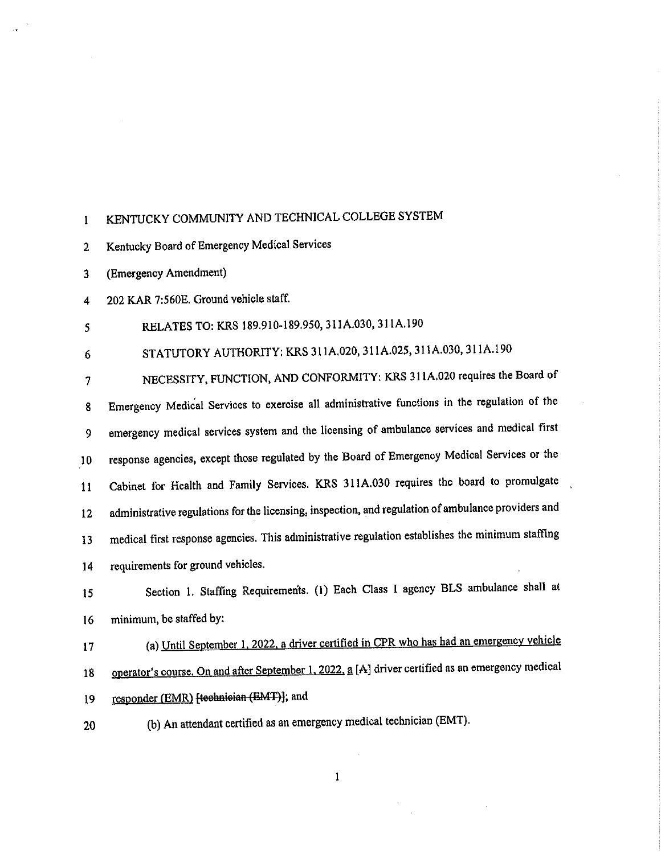#### KENTUCKY COMMUNITY AND TECHNICAL COLLEGE SYSTEM  $\mathbf{I}$

Kentucky Board of Emergency Medical Services  $\overline{2}$ 

(Emergency Amendment)  $\overline{\mathbf{3}}$ 

202 KAR 7:560E. Ground vehicle staff.  $\overline{\mathbf{4}}$ 

RELATES TO: KRS 189.910-189.950, 311A.030, 311A.190  $\overline{\mathbf{S}}$ 

STATUTORY AUTHORITY; KRS 311A.020, 311A.025, 311A.030, 311A.190  $6\phantom{1}$ 

NECESSITY, FUNCTION, AND CONFORMITY: KRS 311A.020 requires the Board of  $\overline{7}$ Emergency Medical Services to exercise all administrative functions in the regulation of the 8 emergency medical services system and the licensing of ambulance services and medical first 9 response agencies, except those regulated by the Board of Emergency Medical Services or the  $10<sub>1</sub>$ Cabinet for Health and Family Services. KRS 311A.030 requires the board to promulgate  $11$ administrative regulations for the licensing, inspection, and regulation of ambulance providers and  $12$ medical first response agencies. This administrative regulation establishes the minimum staffing 13 requirements for ground vehicles.  $14$ 

Section 1. Staffing Requirements. (1) Each Class I agency BLS ambulance shall at  $15$ minimum, be staffed by:  $16$ 

- (a) Until September 1, 2022, a driver certified in CPR who has had an emergency vehicle 17
- operator's course. On and after September 1, 2022, a [A] driver certified as an emergency medical 18
- responder (EMR) [technician (EMT)]; and 19
- (b) An attendant certified as an emergency medical technician (EMT). 20

 $\mathbf{1}$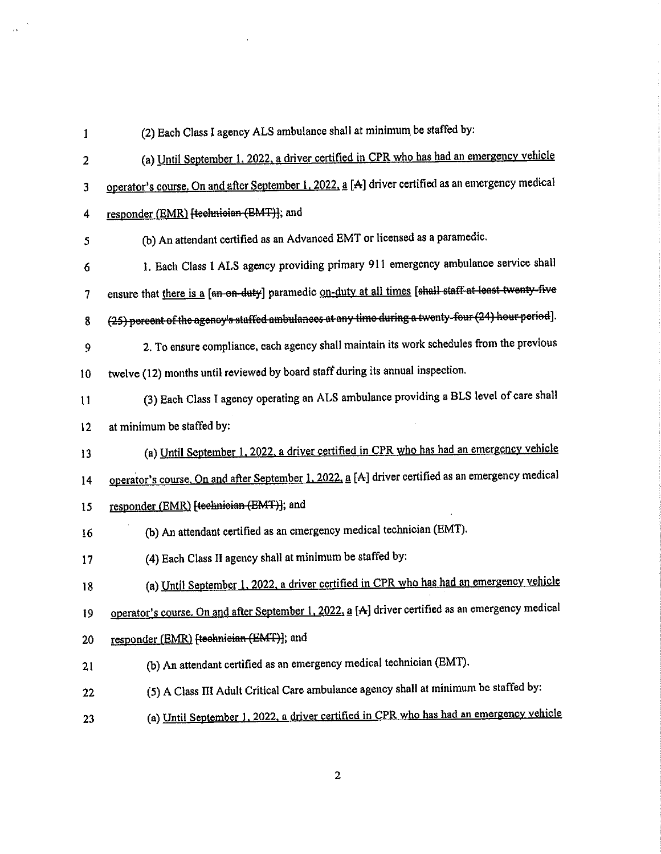| 1       | (2) Each Class I agency ALS ambulance shall at minimum be staffed by:                                |
|---------|------------------------------------------------------------------------------------------------------|
| 2       | (a) Until September 1, 2022, a driver certified in CPR who has had an emergency vehicle              |
| 3       | operator's course. On and after September 1, 2022, a [A] driver certified as an emergency medical    |
| 4       | responder (EMR) [technician (EMT)]; and                                                              |
| 5       | (b) An attendant certified as an Advanced EMT or licensed as a paramedic.                            |
| 6       | 1. Each Class I ALS agency providing primary 911 emergency ambulance service shall                   |
| 7       | ensure that there is a [an on-duty] paramedic on-duty at all times [shall staff at least twenty-five |
| 8       | (25) percent of the agency's staffed ambulances at any time during a twenty-four (24) hour period].  |
| 9       | 2. To ensure compliance, each agency shall maintain its work schedules from the previous             |
| 10      | twelve (12) months until reviewed by board staff during its annual inspection.                       |
| 11      | (3) Each Class I agency operating an ALS ambulance providing a BLS level of care shall               |
| $12 \,$ | at minimum be staffed by:                                                                            |
| 13      | (a) Until September 1, 2022, a driver certified in CPR who has had an emergency vehicle              |
| 14      | operator's course. On and after September 1, 2022, a [A] driver certified as an emergency medical    |
| 15      | responder (EMR) [teehnieian (EMT)]; and                                                              |
| 16      | (b) An attendant certified as an emergency medical technician (EMT).                                 |
| 17      | (4) Each Class II agency shall at minimum be staffed by:                                             |
| 18      | (a) Until September 1, 2022, a driver certified in CPR who has had an emergency vehicle              |
| 19      | operator's course. On and after September 1, 2022, a [A] driver certified as an emergency medical    |
| 20      | responder (EMR) [teehnieian (EMT)]; and                                                              |
| 21      | (b) An attendant certified as an emergency medical technician (EMT).                                 |
| 22      | (5) A Class III Adult Critical Care ambulance agency shall at minimum be staffed by:                 |
| 23      | (a) Until September 1, 2022, a driver certified in CPR who has had an emergency vehicle              |

 $\mathcal{L}^{\text{max}}_{\text{max}}$  and  $\mathcal{L}^{\text{max}}_{\text{max}}$ 

 $\frac{1}{\tilde{D}}$  ,

 $\overline{2}$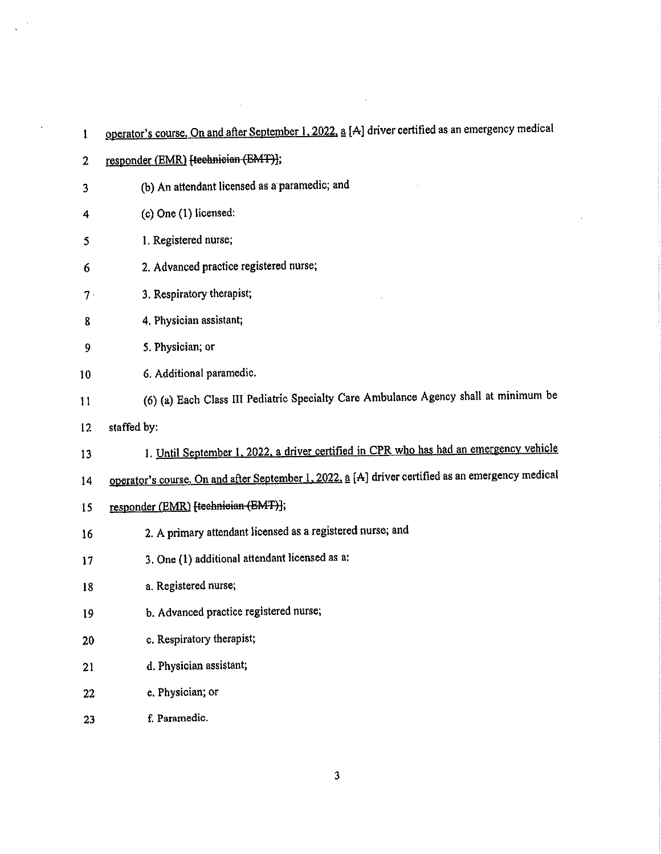| 1            | operator's course. On and after September 1, 2022, a [A] driver certified as an emergency medical |
|--------------|---------------------------------------------------------------------------------------------------|
| $\mathbf{2}$ | responder (EMR) [technician (EMT)];                                                               |
| 3            | (b) An attendant licensed as a paramedic; and                                                     |
| 4            | $(c)$ One $(1)$ licensed:                                                                         |
| 5            | 1. Registered nurse;                                                                              |
| 6            | 2. Advanced practice registered nurse;                                                            |
| $7 \cdot$    | 3. Respiratory therapist;                                                                         |
| 8            | 4. Physician assistant;                                                                           |
| 9            | 5. Physician; or                                                                                  |
| 10           | 6. Additional paramedic.                                                                          |
| 11           | (6) (a) Each Class III Pediatric Specialty Care Ambulance Agency shall at minimum be              |
| 12           | staffed by:                                                                                       |
| 13           | 1. Until September 1, 2022, a driver certified in CPR who has had an emergency vehicle            |
| 14           | operator's course. On and after September 1, 2022, a [A] driver certified as an emergency medical |
| 15           | responder (EMR) [technician (EMT)];                                                               |
| 16           | 2. A primary attendant licensed as a registered nurse; and                                        |
| 17           | 3. One (1) additional attendant licensed as a:                                                    |
| 18           | a. Registered nurse;                                                                              |
| 19           | b. Advanced practice registered nurse;                                                            |
| 20           | c. Respiratory therapist;                                                                         |
| 21           | d. Physician assistant;                                                                           |
| 22           | e. Physician; or                                                                                  |
| 23           | f. Paramedic.                                                                                     |

 $\label{eq:2.1} \frac{1}{\sqrt{2}}\int_{\mathbb{R}^3}\frac{1}{\sqrt{2}}\left(\frac{1}{\sqrt{2}}\right)^2\left(\frac{1}{\sqrt{2}}\right)^2\left(\frac{1}{\sqrt{2}}\right)^2\left(\frac{1}{\sqrt{2}}\right)^2\left(\frac{1}{\sqrt{2}}\right)^2.$ 

 $\bar{\epsilon}$ 

 $\sim 10^{-1}$ 

 $\frac{1}{\sqrt{2}}\sum_{i=1}^{N} \frac{1}{i} \sum_{j=1}^{N} \frac{1}{j} \sum_{j=1}^{N} \frac{1}{j} \sum_{j=1}^{N} \frac{1}{j} \sum_{j=1}^{N} \frac{1}{j} \sum_{j=1}^{N} \frac{1}{j} \sum_{j=1}^{N} \frac{1}{j} \sum_{j=1}^{N} \frac{1}{j} \sum_{j=1}^{N} \frac{1}{j} \sum_{j=1}^{N} \frac{1}{j} \sum_{j=1}^{N} \frac{1}{j} \sum_{j=1}^{N} \frac{1}{j} \sum_{j=1$ 

 $\sim 10^7$ 

 $\mathbf{3}$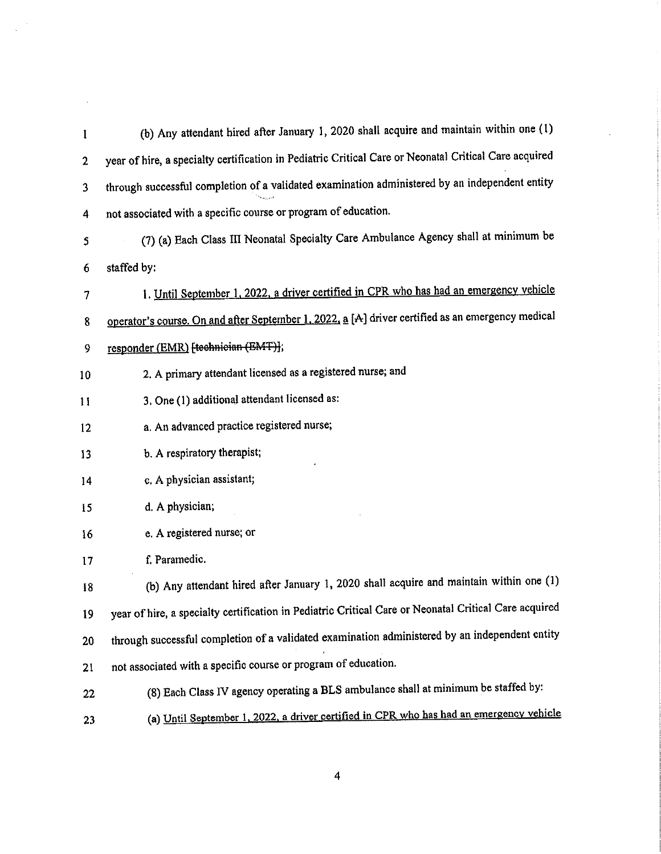| 1  | (b) Any attendant hired after January 1, 2020 shall acquire and maintain within one (1)               |
|----|-------------------------------------------------------------------------------------------------------|
| 2  | year of hire, a specialty certification in Pediatric Critical Care or Neonatal Critical Care acquired |
| 3  | through successful completion of a validated examination administered by an independent entity        |
| 4  | not associated with a specific course or program of education.                                        |
| 5  | (7) (a) Each Class III Neonatal Specialty Care Ambulance Agency shall at minimum be                   |
| 6  | staffed by:                                                                                           |
| 7  | 1. Until September 1, 2022, a driver certified in CPR who has had an emergency vehicle                |
| 8  | operator's course. On and after September 1, 2022, a [A] driver certified as an emergency medical     |
| 9  | responder (EMR) [technician (EMT)];                                                                   |
| 10 | 2. A primary attendant licensed as a registered nurse; and                                            |
| 11 | 3. One (1) additional attendant licensed as:                                                          |
| 12 | a. An advanced practice registered nurse;                                                             |
| 13 | b. A respiratory therapist;                                                                           |
| 14 | c. A physician assistant;                                                                             |
| 15 | d. A physician;                                                                                       |
| 16 | e. A registered nurse; or                                                                             |
| 17 | f. Paramedic.                                                                                         |
| 18 | (b) Any attendant hired after January 1, 2020 shall acquire and maintain within one (1)               |
| 19 | year of hire, a specialty certification in Pediatric Critical Care or Neonatal Critical Care acquired |
| 20 | through successful completion of a validated examination administered by an independent entity        |
| 21 | not associated with a specific course or program of education.                                        |
| 22 | (8) Each Class IV agency operating a BLS ambulance shall at minimum be staffed by:                    |
| 23 | (a) Until September 1, 2022, a driver certified in CPR who has had an emergency vehicle               |

 $\label{eq:2} \frac{1}{\sqrt{2\pi}}\frac{1}{\sqrt{2\pi}}\frac{1}{\sqrt{2\pi}}\frac{1}{\sqrt{2\pi}}\frac{1}{\sqrt{2\pi}}\frac{1}{\sqrt{2\pi}}\frac{1}{\sqrt{2\pi}}\frac{1}{\sqrt{2\pi}}\frac{1}{\sqrt{2\pi}}\frac{1}{\sqrt{2\pi}}\frac{1}{\sqrt{2\pi}}\frac{1}{\sqrt{2\pi}}\frac{1}{\sqrt{2\pi}}\frac{1}{\sqrt{2\pi}}\frac{1}{\sqrt{2\pi}}\frac{1}{\sqrt{2\pi}}\frac{1}{\sqrt{2\pi}}\frac{1}{\sqrt{2$ 

 $\label{eq:2.1} \frac{1}{\sqrt{2}}\left(\frac{1}{\sqrt{2}}\right)^{2} \left(\frac{1}{\sqrt{2}}\right)^{2} \left(\frac{1}{\sqrt{2}}\right)^{2} \left(\frac{1}{\sqrt{2}}\right)^{2} \left(\frac{1}{\sqrt{2}}\right)^{2} \left(\frac{1}{\sqrt{2}}\right)^{2} \left(\frac{1}{\sqrt{2}}\right)^{2} \left(\frac{1}{\sqrt{2}}\right)^{2} \left(\frac{1}{\sqrt{2}}\right)^{2} \left(\frac{1}{\sqrt{2}}\right)^{2} \left(\frac{1}{\sqrt{2}}\right)^{2} \left(\$ 

 $\overline{4}$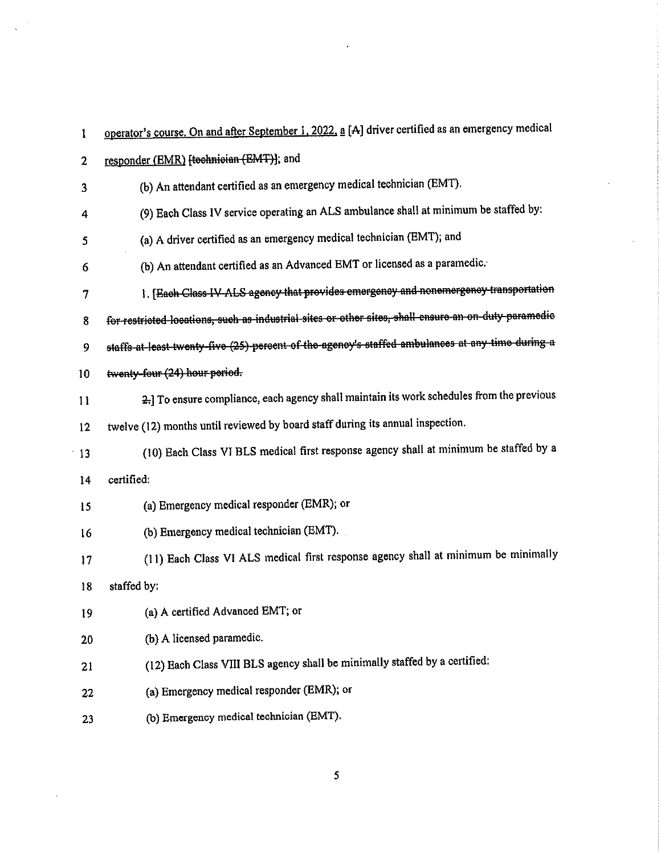| 1  | operator's course. On and after September 1, 2022, a [A] driver certified as an emergency medical    |
|----|------------------------------------------------------------------------------------------------------|
| 2  | responder (EMR) [technician (EMT)]; and                                                              |
| 3  | (b) An attendant certified as an emergency medical technician (EMT).                                 |
| 4  | (9) Each Class IV service operating an ALS ambulance shall at minimum be staffed by:                 |
| 5  | (a) A driver certified as an emergency medical technician (EMT); and                                 |
| 6  | (b) An attendant certified as an Advanced EMT or licensed as a paramedic.                            |
| 7  | 1. [Each Class-IV ALS agency that provides emergency and nonemergency transportation                 |
| 8  | for restricted locations, such as industrial sites or other sites, shall ensure an on duty paramedic |
| 9  | staffs at least twenty five (25) percent of the agency's staffed ambulances at any time during a     |
| 10 | twenty-four (24) hour period.                                                                        |
| 11 | 2.] To ensure compliance, each agency shall maintain its work schedules from the previous            |
| 12 | twelve (12) months until reviewed by board staff during its annual inspection.                       |
| 13 | (10) Each Class VI BLS medical first response agency shall at minimum be staffed by a                |
| 14 | certified:                                                                                           |
| 15 | (a) Emergency medical responder (EMR); or                                                            |
| 16 | (b) Emergency medical technician (EMT).                                                              |
| 17 | (11) Each Class VI ALS medical first response agency shall at minimum be minimally                   |
| 18 | staffed by:                                                                                          |
| 19 | (a) A certified Advanced EMT; or                                                                     |
| 20 | (b) A licensed paramedic.                                                                            |
| 21 | (12) Each Class VIII BLS agency shall be minimally staffed by a certified:                           |
| 22 | (a) Emergency medical responder (EMR); or                                                            |
| 23 | (b) Emergency medical technician (EMT).                                                              |

 $\overline{\mathbf{5}}$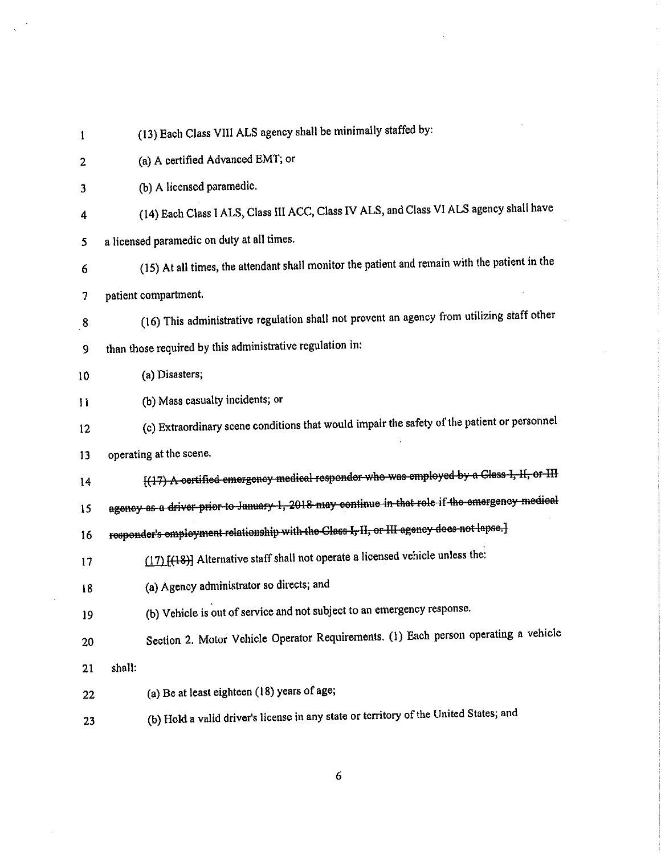| 1                | (13) Each Class VIII ALS agency shall be minimally staffed by:                                 |
|------------------|------------------------------------------------------------------------------------------------|
| 2                | (a) A certified Advanced EMT; or                                                               |
| 3                | (b) A licensed paramedic.                                                                      |
| 4                | (14) Each Class I ALS, Class III ACC, Class IV ALS, and Class VI ALS agency shall have         |
| 5                | a licensed paramedic on duty at all times.                                                     |
| $\boldsymbol{6}$ | (15) At all times, the attendant shall monitor the patient and remain with the patient in the  |
| 7                | patient compartment.                                                                           |
| ${\bf 8}$        | (16) This administrative regulation shall not prevent an agency from utilizing staff other     |
| 9                | than those required by this administrative regulation in:                                      |
| 10               | (a) Disasters;                                                                                 |
| $\mathbf{11}$    | (b) Mass casualty incidents; or                                                                |
| 12               | (c) Extraordinary scene conditions that would impair the safety of the patient or personnel    |
| 13               | operating at the scene.                                                                        |
| 14               | [(17) A certified emergency medical responder who was employed by a Class I, II, or III        |
| 15               | agency as a driver prior to January 1, 2018 may continue in that role if the emergency medical |
| 16               | responder's employment relationship with the Class I, II, or III agency does not lapse.]       |
| 17               | (17) [(18)] Alternative staff shall not operate a licensed vehicle unless the:                 |
| 18               | (a) Agency administrator so directs; and                                                       |
| 19               | (b) Vehicle is out of service and not subject to an emergency response.                        |
| 20               | Section 2. Motor Vehicle Operator Requirements. (1) Each person operating a vehicle            |
| 21               | shall:                                                                                         |
| 22               | (a) Be at least eighteen (18) years of age;                                                    |
| 23               | (b) Hold a valid driver's license in any state or territory of the United States; and          |
|                  |                                                                                                |

 $\label{eq:2.1} \frac{1}{\sqrt{2}}\left(\frac{1}{\sqrt{2}}\right)^{2} \left(\frac{1}{\sqrt{2}}\right)^{2} \left(\frac{1}{\sqrt{2}}\right)^{2} \left(\frac{1}{\sqrt{2}}\right)^{2} \left(\frac{1}{\sqrt{2}}\right)^{2} \left(\frac{1}{\sqrt{2}}\right)^{2} \left(\frac{1}{\sqrt{2}}\right)^{2} \left(\frac{1}{\sqrt{2}}\right)^{2} \left(\frac{1}{\sqrt{2}}\right)^{2} \left(\frac{1}{\sqrt{2}}\right)^{2} \left(\frac{1}{\sqrt{2}}\right)^{2} \left(\$ 

 $\frac{1}{\sqrt{2\pi}}\frac{1}{\sqrt{2\pi}}\frac{1}{\sqrt{2\pi}}\frac{1}{\sqrt{2\pi}}\frac{1}{\sqrt{2\pi}}\frac{1}{\sqrt{2\pi}}\frac{1}{\sqrt{2\pi}}\frac{1}{\sqrt{2\pi}}\frac{1}{\sqrt{2\pi}}\frac{1}{\sqrt{2\pi}}\frac{1}{\sqrt{2\pi}}\frac{1}{\sqrt{2\pi}}\frac{1}{\sqrt{2\pi}}\frac{1}{\sqrt{2\pi}}\frac{1}{\sqrt{2\pi}}\frac{1}{\sqrt{2\pi}}\frac{1}{\sqrt{2\pi}}\frac{1}{\sqrt{2\pi}}\frac{1$ 

 $\overline{6}$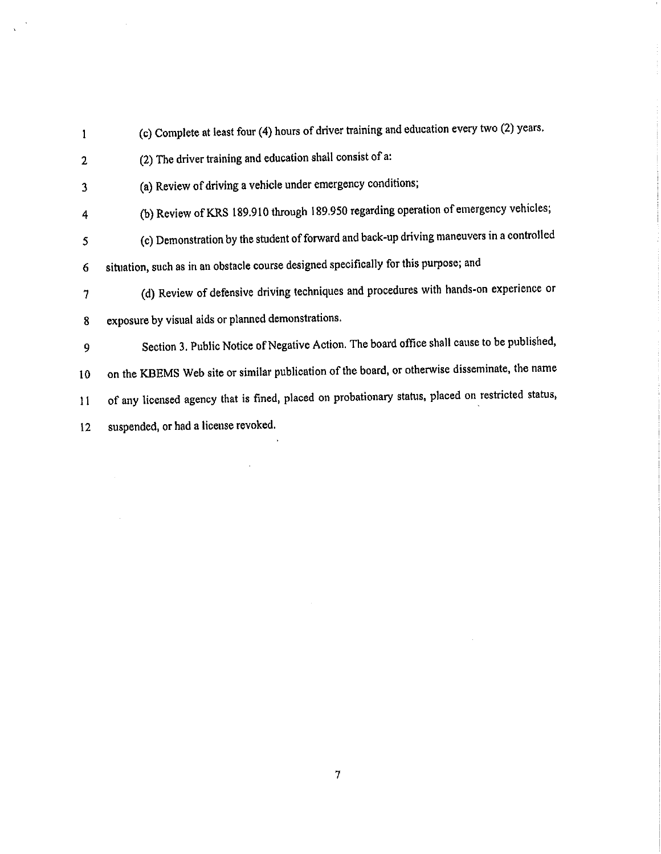- (c) Complete at least four (4) hours of driver training and education every two (2) years.  $\mathbf{1}$ (2) The driver training and education shall consist of a:  $\overline{2}$ (a) Review of driving a vehicle under emergency conditions;  $\overline{\mathbf{3}}$ (b) Review of KRS 189.910 through 189.950 regarding operation of emergency vehicles;  $\overline{4}$ (c) Demonstration by the student of forward and back-up driving maneuvers in a controlled 5 situation, such as in an obstacle course designed specifically for this purpose; and  $\overline{6}$ (d) Review of defensive driving techniques and procedures with hands-on experience or  $\overline{7}$ exposure by visual aids or planned demonstrations. 8 Section 3. Public Notice of Negative Action. The board office shall cause to be published, 9 on the KBEMS Web site or similar publication of the board, or otherwise disseminate, the name 10 of any licensed agency that is fined, placed on probationary status, placed on restricted status, 11
- suspended, or had a license revoked.  $12<sup>2</sup>$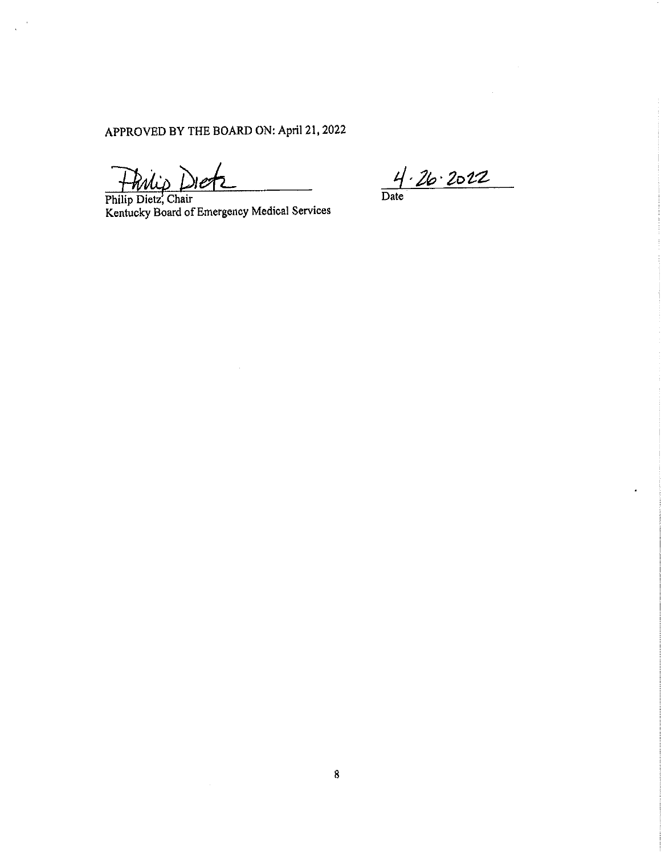APPROVED BY THE BOARD ON: April 21, 2022

Frilip Dies

Philip Dietz, Chair<br>Kentucky Board of Emergency Medical Services

 $4.26.2022$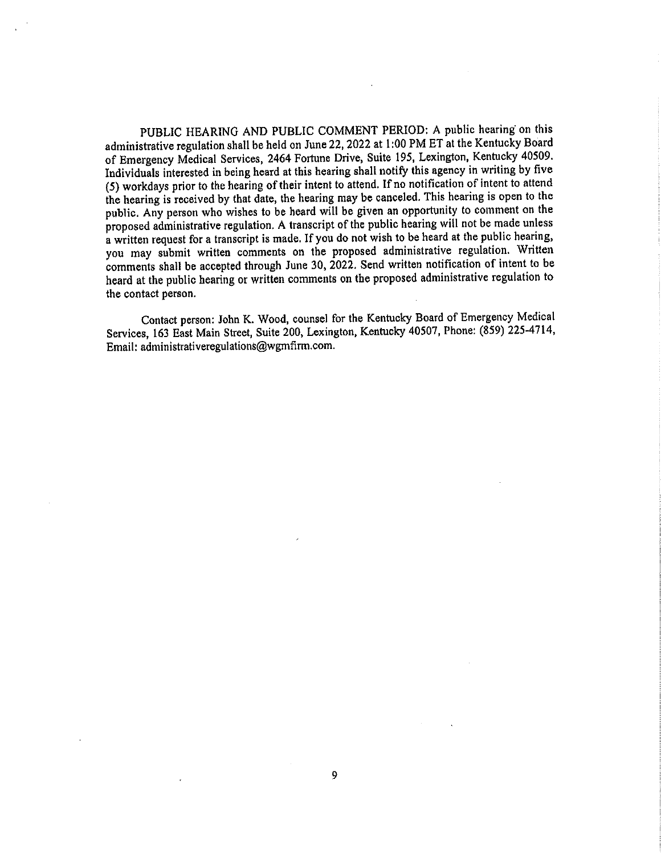PUBLIC HEARING AND PUBLIC COMMENT PERIOD: A public hearing on this administrative regulation shall be held on June 22, 2022 at 1:00 PM ET at the Kentucky Board of Emergency Medical Services, 2464 Fortune Drive, Suite 195, Lexington, Kentucky 40509. Individuals interested in being heard at this hearing shall notify this agency in writing by five (5) workdays prior to the hearing of their intent to attend. If no notification of intent to attend the hearing is received by that date, the hearing may be canceled. This hearing is open to the public. Any person who wishes to be heard will be given an opportunity to comment on the proposed administrative regulation. A transcript of the public hearing will not be made unless a written request for a transcript is made. If you do not wish to be heard at the public hearing, you may submit written comments on the proposed administrative regulation. Written comments shall be accepted through June 30, 2022. Send written notification of intent to be heard at the public hearing or written comments on the proposed administrative regulation to the contact person.

Contact person: John K. Wood, counsel for the Kentucky Board of Emergency Medical Services, 163 East Main Street, Suite 200, Lexington, Kentucky 40507, Phone: (859) 225-4714, Email: administrativeregulations@wgmfirm.com.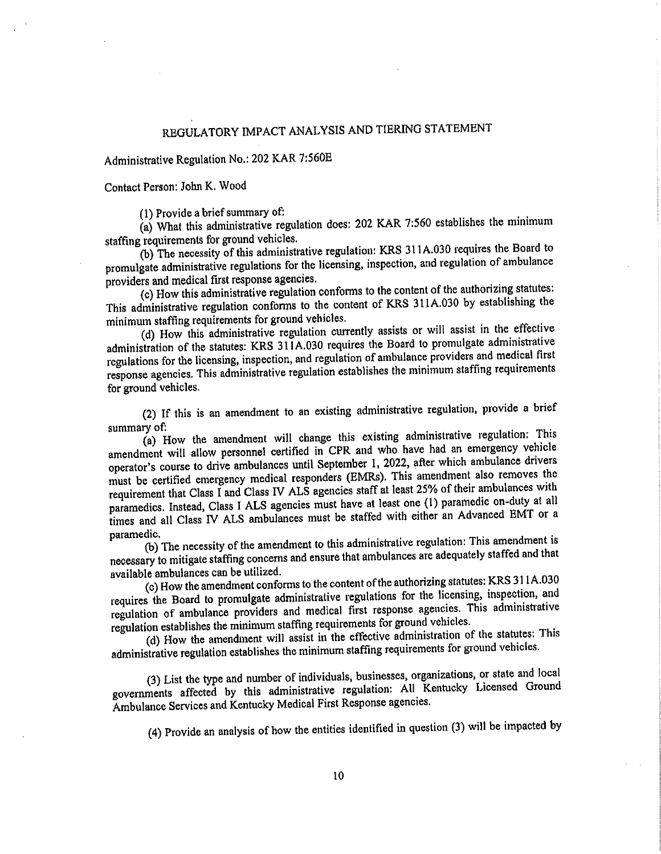# REGULATORY IMPACT ANALYSIS AND TIERING STATEMENT

Administrative Regulation No.: 202 KAR 7:560E

Contact Person: John K. Wood

(1) Provide a brief summary of:

(a) What this administrative regulation does: 202 KAR 7:560 establishes the minimum staffing requirements for ground vehicles.

(b) The necessity of this administrative regulation: KRS 311A.030 requires the Board to promulgate administrative regulations for the licensing, inspection, and regulation of ambulance providers and medical first response agencies.

(c) How this administrative regulation conforms to the content of the authorizing statutes: This administrative regulation conforms to the content of KRS 311A.030 by establishing the minimum staffing requirements for ground vehicles.

(d) How this administrative regulation currently assists or will assist in the effective administration of the statutes: KRS 311A.030 requires the Board to promulgate administrative regulations for the licensing, inspection, and regulation of ambulance providers and medical first response agencies. This administrative regulation establishes the minimum staffing requirements for ground vehicles.

(2) If this is an amendment to an existing administrative regulation, provide a brief summary of

(a) How the amendment will change this existing administrative regulation: This amendment will allow personnel certified in CPR and who have had an emergency vehicle operator's course to drive ambulances until September 1, 2022, after which ambulance drivers must be certified emergency medical responders (EMRs). This amendment also removes the requirement that Class I and Class IV ALS agencies staff at least 25% of their ambulances with paramedics. Instead, Class I ALS agencies must have at least one (1) paramedic on-duty at all times and all Class IV ALS ambulances must be staffed with either an Advanced EMT or a paramedic.

(b) The necessity of the amendment to this administrative regulation: This amendment is necessary to mitigate staffing concerns and ensure that ambulances are adequately staffed and that available ambulances can be utilized.

(c) How the amendment conforms to the content of the authorizing statutes: KRS 311A.030 requires the Board to promulgate administrative regulations for the licensing, inspection, and regulation of ambulance providers and medical first response agencies. This administrative regulation establishes the minimum staffing requirements for ground vehicles.

(d) How the amendment will assist in the effective administration of the statutes: This administrative regulation establishes the minimum staffing requirements for ground vehicles.

(3) List the type and number of individuals, businesses, organizations, or state and local governments affected by this administrative regulation: All Kentucky Licensed Ground Ambulance Services and Kentucky Medical First Response agencies.

(4) Provide an analysis of how the entities identified in question (3) will be impacted by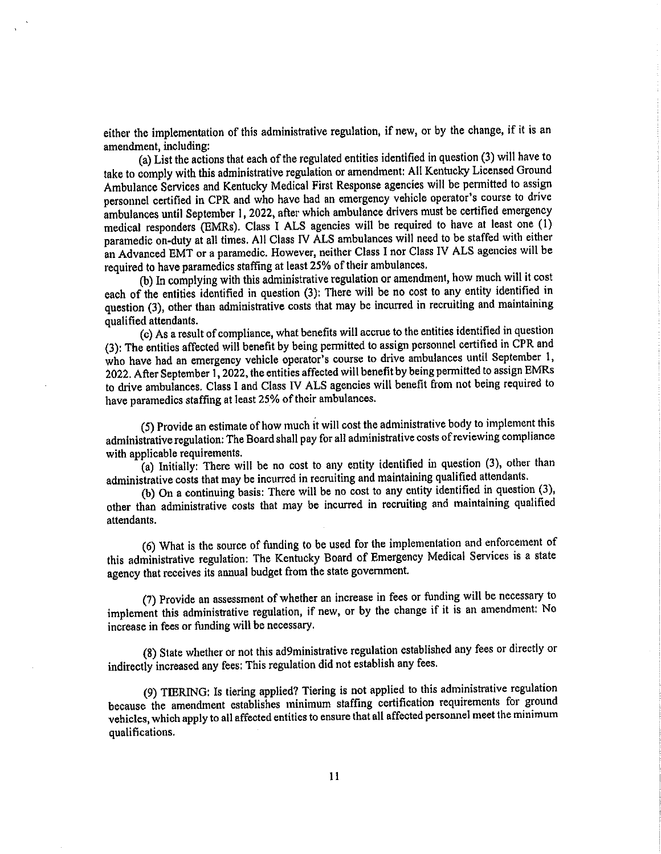either the implementation of this administrative regulation, if new, or by the change, if it is an amendment, including:

(a) List the actions that each of the regulated entities identified in question (3) will have to take to comply with this administrative regulation or amendment: All Kentucky Licensed Ground Ambulance Services and Kentucky Medical First Response agencies will be permitted to assign personnel certified in CPR and who have had an emergency vehicle operator's course to drive ambulances until September 1, 2022, after which ambulance drivers must be certified emergency medical responders (EMRs). Class I ALS agencies will be required to have at least one (1) paramedic on-duty at all times. All Class IV ALS ambulances will need to be staffed with either an Advanced EMT or a paramedic. However, neither Class I nor Class IV ALS agencies will be required to have paramedics staffing at least 25% of their ambulances.

(b) In complying with this administrative regulation or amendment, how much will it cost each of the entities identified in question (3): There will be no cost to any entity identified in question (3), other than administrative costs that may be incurred in recruiting and maintaining qualified attendants.

(c) As a result of compliance, what benefits will accrue to the entities identified in question (3): The entities affected will benefit by being permitted to assign personnel certified in CPR and who have had an emergency vehicle operator's course to drive ambulances until September 1, 2022. After September 1, 2022, the entities affected will benefit by being permitted to assign EMRs to drive ambulances. Class I and Class IV ALS agencies will benefit from not being required to have paramedics staffing at least 25% of their ambulances.

(5) Provide an estimate of how much it will cost the administrative body to implement this administrative regulation: The Board shall pay for all administrative costs of reviewing compliance with applicable requirements.

(a) Initially: There will be no cost to any entity identified in question (3), other than administrative costs that may be incurred in recruiting and maintaining qualified attendants.

(b) On a continuing basis: There will be no cost to any entity identified in question (3), other than administrative costs that may be incurred in recruiting and maintaining qualified attendants.

(6) What is the source of funding to be used for the implementation and enforcement of this administrative regulation: The Kentucky Board of Emergency Medical Services is a state agency that receives its annual budget from the state government.

(7) Provide an assessment of whether an increase in fees or funding will be necessary to implement this administrative regulation, if new, or by the change if it is an amendment. No increase in fees or funding will be necessary.

(8) State whether or not this ad9ministrative regulation established any fees or directly or indirectly increased any fees: This regulation did not establish any fees.

(9) TIERING: Is tiering applied? Tiering is not applied to this administrative regulation because the amendment establishes minimum staffing certification requirements for ground vehicles, which apply to all affected entities to ensure that all affected personnel meet the minimum qualifications.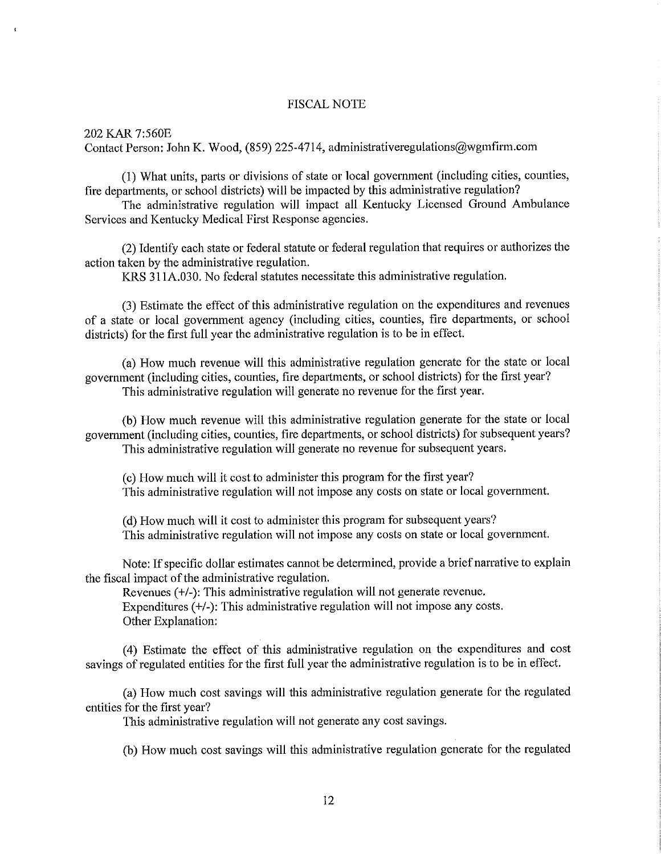## **FISCAL NOTE**

202 KAR 7:560E Contact Person: John K. Wood, (859) 225-4714, administrativeregulations@wgmfirm.com

(1) What units, parts or divisions of state or local government (including cities, counties, fire departments, or school districts) will be impacted by this administrative regulation?

The administrative regulation will impact all Kentucky Licensed Ground Ambulance Services and Kentucky Medical First Response agencies.

(2) Identify each state or federal statute or federal regulation that requires or authorizes the action taken by the administrative regulation.

KRS 311A,030. No federal statutes necessitate this administrative regulation.

(3) Estimate the effect of this administrative regulation on the expenditures and revenues of a state or local government agency (including cities, counties, fire departments, or school districts) for the first full year the administrative regulation is to be in effect.

(a) How much revenue will this administrative regulation generate for the state or local government (including cities, counties, fire departments, or school districts) for the first year? This administrative regulation will generate no revenue for the first year.

(b) How much revenue will this administrative regulation generate for the state or local government (including cities, counties, fire departments, or school districts) for subsequent years? This administrative regulation will generate no revenue for subsequent years.

(c) How much will it cost to administer this program for the first year? This administrative regulation will not impose any costs on state or local government.

(d) How much will it cost to administer this program for subsequent years? This administrative regulation will not impose any costs on state or local government.

Note: If specific dollar estimates cannot be determined, provide a brief narrative to explain the fiscal impact of the administrative regulation.

Revenues  $(+/-)$ : This administrative regulation will not generate revenue. Expenditures  $(+/-)$ : This administrative regulation will not impose any costs. Other Explanation:

(4) Estimate the effect of this administrative regulation on the expenditures and cost sayings of regulated entities for the first full year the administrative regulation is to be in effect.

(a) How much cost savings will this administrative regulation generate for the regulated entities for the first year?

This administrative regulation will not generate any cost savings.

(b) How much cost savings will this administrative regulation generate for the regulated